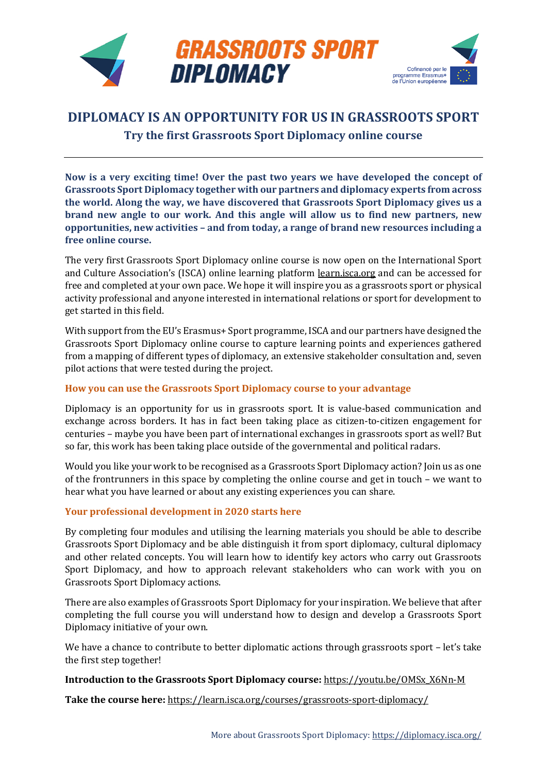

## **DIPLOMACY IS AN OPPORTUNITY FOR US IN GRASSROOTS SPORT Try the first Grassroots Sport Diplomacy online course**

**Now is a very exciting time! Over the past two years we have developed the concept of Grassroots Sport Diplomacy together with our partners and diplomacy experts from across the world. Along the way, we have discovered that Grassroots Sport Diplomacy gives us a brand new angle to our work. And this angle will allow us to find new partners, new opportunities, new activities – and from today, a range of brand new resources including a free online course.** 

The very first Grassroots Sport Diplomacy online course is now open on the International Sport and Culture Association's (ISCA) online learning platform [learn.isca.org](https://learn.isca.org/) and can be accessed for free and completed at your own pace. We hope it will inspire you as a grassroots sport or physical activity professional and anyone interested in international relations or sport for development to get started in this field.

With support from the EU's Erasmus+ Sport programme, ISCA and our partners have designed the Grassroots Sport Diplomacy online course to capture learning points and experiences gathered from a mapping of different types of diplomacy, an extensive stakeholder consultation and, seven pilot actions that were tested during the project.

## **How you can use the Grassroots Sport Diplomacy course to your advantage**

Diplomacy is an opportunity for us in grassroots sport. It is value-based communication and exchange across borders. It has in fact been taking place as citizen-to-citizen engagement for centuries – maybe you have been part of international exchanges in grassroots sport as well? But so far, this work has been taking place outside of the governmental and political radars.

Would you like your work to be recognised as a Grassroots Sport Diplomacy action? Join us as one of the frontrunners in this space by completing the online course and get in touch – we want to hear what you have learned or about any existing experiences you can share.

## **Your professional development in 2020 starts here**

By completing four modules and utilising the learning materials you should be able to describe Grassroots Sport Diplomacy and be able distinguish it from sport diplomacy, cultural diplomacy and other related concepts. You will learn how to identify key actors who carry out Grassroots Sport Diplomacy, and how to approach relevant stakeholders who can work with you on Grassroots Sport Diplomacy actions.

There are also examples of Grassroots Sport Diplomacy for your inspiration. We believe that after completing the full course you will understand how to design and develop a Grassroots Sport Diplomacy initiative of your own.

We have a chance to contribute to better diplomatic actions through grassroots sport - let's take the first step together!

## **Introduction to the Grassroots Sport Diplomacy course:** [https://youtu.be/OMSx\\_X6Nn-M](https://youtu.be/OMSx_X6Nn-M)

**Take the course here:** <https://learn.isca.org/courses/grassroots-sport-diplomacy/>